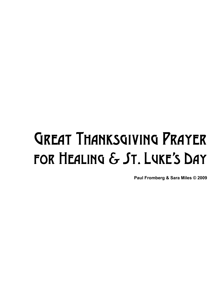## Great Thanksgiving Prayer for Healing & St. Luke's Day

**Paul Fromberg & Sara Miles © 2009**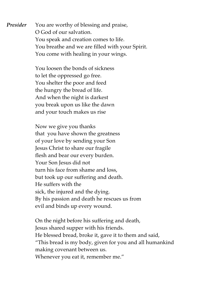*Presider* You are worthy of blessing and praise, O God of our salvation. You speak and creation comes to life. You breathe and we are filled with your Spirit. You come with healing in your wings.

> You loosen the bonds of sickness to let the oppressed go free. You shelter the poor and feed the hungry the bread of life. And when the night is darkest you break upon us like the dawn and your touch makes us rise

Now we give you thanks that you have shown the greatness of your love by sending your Son Jesus Christ to share our fragile flesh and bear our every burden. Your Son Jesus did not turn his face from shame and loss, but took up our suffering and death. He suffers with the sick, the injured and the dying. By his passion and death he rescues us from evil and binds up every wound.

On the night before his suffering and death, Jesus shared supper with his friends. He blessed bread, broke it, gave it to them and said, "This bread is my body, given for you and all humankind making covenant between us. Whenever you eat it, remember me."